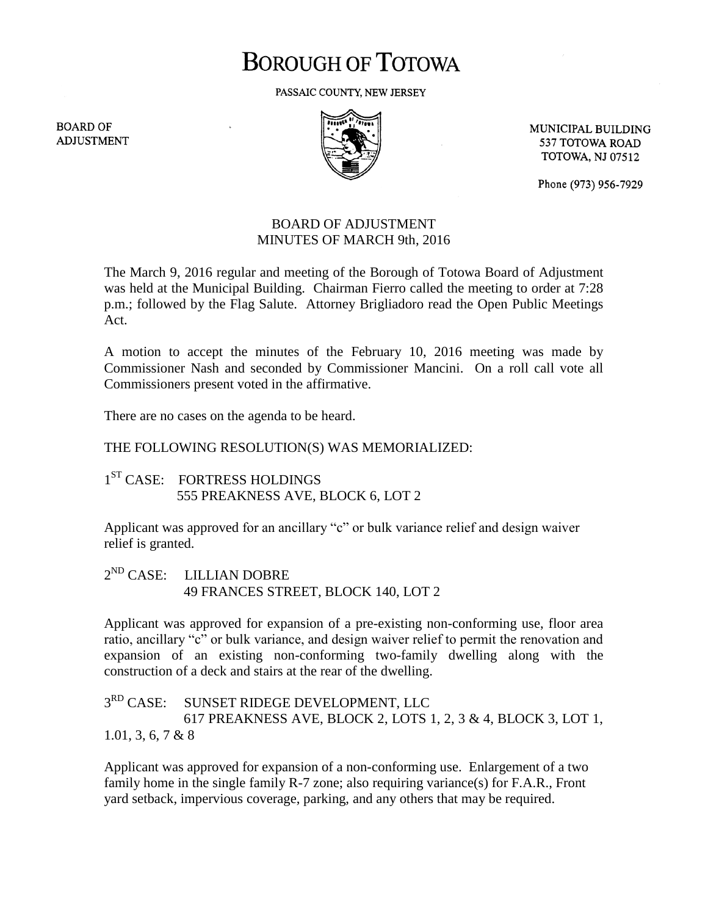# **BOROUGH OF TOTOWA**

PASSAIC COUNTY, NEW JERSEY

**BOARD OF ADJUSTMENT** 



MUNICIPAL BUILDING 537 TOTOWA ROAD **TOTOWA, NJ 07512** 

Phone (973) 956-7929

## BOARD OF ADJUSTMENT MINUTES OF MARCH 9th, 2016

The March 9, 2016 regular and meeting of the Borough of Totowa Board of Adjustment was held at the Municipal Building. Chairman Fierro called the meeting to order at 7:28 p.m.; followed by the Flag Salute. Attorney Brigliadoro read the Open Public Meetings Act.

A motion to accept the minutes of the February 10, 2016 meeting was made by Commissioner Nash and seconded by Commissioner Mancini. On a roll call vote all Commissioners present voted in the affirmative.

There are no cases on the agenda to be heard.

## THE FOLLOWING RESOLUTION(S) WAS MEMORIALIZED:

# 1<sup>ST</sup> CASE: FORTRESS HOLDINGS 555 PREAKNESS AVE, BLOCK 6, LOT 2

Applicant was approved for an ancillary "c" or bulk variance relief and design waiver relief is granted.

#### $2^{ND}$  CASE: LILLIAN DOBRE 49 FRANCES STREET, BLOCK 140, LOT 2

Applicant was approved for expansion of a pre-existing non-conforming use, floor area ratio, ancillary "c" or bulk variance, and design waiver relief to permit the renovation and expansion of an existing non-conforming two-family dwelling along with the construction of a deck and stairs at the rear of the dwelling.

### $3<sup>RD</sup>$  CASE: SUNSET RIDEGE DEVELOPMENT, LLC 617 PREAKNESS AVE, BLOCK 2, LOTS 1, 2, 3 & 4, BLOCK 3, LOT 1, 1.01, 3, 6, 7 & 8

Applicant was approved for expansion of a non-conforming use. Enlargement of a two family home in the single family R-7 zone; also requiring variance(s) for F.A.R., Front yard setback, impervious coverage, parking, and any others that may be required.